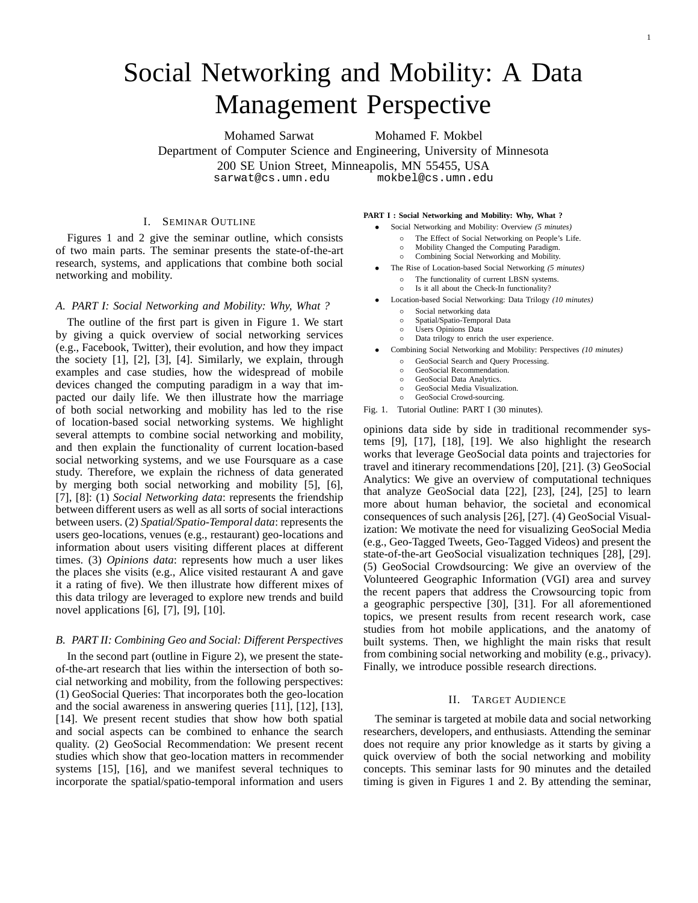# Social Networking and Mobility: A Data Management Perspective

Mohamed Sarwat Mohamed F. Mokbel Department of Computer Science and Engineering, University of Minnesota 200 SE Union Street, Minneapolis, MN 55455, USA<br>sarwat@cs.umn.edu mokbel@cs.umn.edu sarwat@cs.umn.edu mokbel@cs.umn.edu

## I. SEMINAR OUTLINE

Figures 1 and 2 give the seminar outline, which consists of two main parts. The seminar presents the state-of-the-art research, systems, and applications that combine both social networking and mobility.

# *A. PART I: Social Networking and Mobility: Why, What ?*

The outline of the first part is given in Figure 1. We start by giving a quick overview of social networking services (e.g., Facebook, Twitter), their evolution, and how they impact the society [1], [2], [3], [4]. Similarly, we explain, through examples and case studies, how the widespread of mobile devices changed the computing paradigm in a way that impacted our daily life. We then illustrate how the marriage of both social networking and mobility has led to the rise of location-based social networking systems. We highlight several attempts to combine social networking and mobility, and then explain the functionality of current location-based social networking systems, and we use Foursquare as a case study. Therefore, we explain the richness of data generated by merging both social networking and mobility [5], [6], [7], [8]: (1) *Social Networking data*: represents the friendship between different users as well as all sorts of social interactions between users. (2) *Spatial/Spatio-Temporal data*: represents the users geo-locations, venues (e.g., restaurant) geo-locations and information about users visiting different places at different times. (3) *Opinions data*: represents how much a user likes the places she visits (e.g., Alice visited restaurant A and gave it a rating of five). We then illustrate how different mixes of this data trilogy are leveraged to explore new trends and build novel applications [6], [7], [9], [10].

# *B. PART II: Combining Geo and Social: Different Perspectives*

In the second part (outline in Figure 2), we present the stateof-the-art research that lies within the intersection of both social networking and mobility, from the following perspectives: (1) GeoSocial Queries: That incorporates both the geo-location and the social awareness in answering queries [11], [12], [13], [14]. We present recent studies that show how both spatial and social aspects can be combined to enhance the search quality. (2) GeoSocial Recommendation: We present recent studies which show that geo-location matters in recommender systems [15], [16], and we manifest several techniques to incorporate the spatial/spatio-temporal information and users

### **PART I : Social Networking and Mobility: Why, What ?**

- Social Networking and Mobility: Overview *(5 minutes)*
	- The Effect of Social Networking on People's Life.
	- Mobility Changed the Computing Paradigm.
	- Combining Social Networking and Mobility.
- The Rise of Location-based Social Networking *(5 minutes)*
	- The functionality of current LBSN systems. ◦ Is it all about the Check-In functionality?
- Location-based Social Networking: Data Trilogy *(10 minutes)*
- - Social networking data
	- Spatial/Spatio-Temporal Data ◦ Users Opinions Data
	-
	- Data trilogy to enrich the user experience.
- Combining Social Networking and Mobility: Perspectives *(10 minutes)*
	- GeoSocial Search and Query Processing.
	- GeoSocial Recommendation.
	- GeoSocial Data Analytics. ◦ GeoSocial Media Visualization.
	- GeoSocial Crowd-sourcing.
- Fig. 1. Tutorial Outline: PART I (30 minutes).

opinions data side by side in traditional recommender systems [9], [17], [18], [19]. We also highlight the research works that leverage GeoSocial data points and trajectories for travel and itinerary recommendations [20], [21]. (3) GeoSocial Analytics: We give an overview of computational techniques that analyze GeoSocial data [22], [23], [24], [25] to learn more about human behavior, the societal and economical consequences of such analysis [26], [27]. (4) GeoSocial Visualization: We motivate the need for visualizing GeoSocial Media (e.g., Geo-Tagged Tweets, Geo-Tagged Videos) and present the state-of-the-art GeoSocial visualization techniques [28], [29]. (5) GeoSocial Crowdsourcing: We give an overview of the Volunteered Geographic Information (VGI) area and survey the recent papers that address the Crowsourcing topic from a geographic perspective [30], [31]. For all aforementioned topics, we present results from recent research work, case studies from hot mobile applications, and the anatomy of built systems. Then, we highlight the main risks that result from combining social networking and mobility (e.g., privacy). Finally, we introduce possible research directions.

# II. TARGET AUDIENCE

The seminar is targeted at mobile data and social networking researchers, developers, and enthusiasts. Attending the seminar does not require any prior knowledge as it starts by giving a quick overview of both the social networking and mobility concepts. This seminar lasts for 90 minutes and the detailed timing is given in Figures 1 and 2. By attending the seminar,